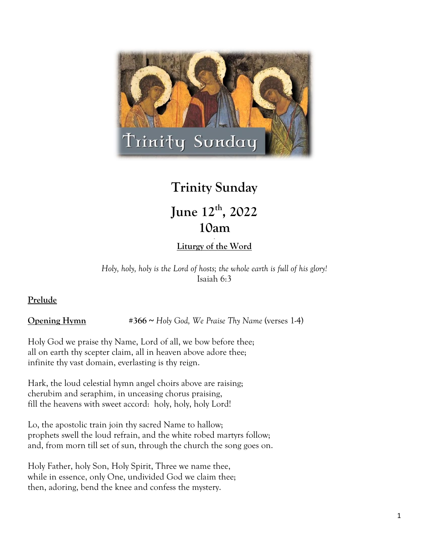

# **Trinity Sunday**

## **June 12th, 2022 10am.**

## **Liturgy of the Word**

*Holy, holy, holy is the Lord of hosts; the whole earth is full of his glory!* Isaiah 6:3

## **Prelude**

**Opening Hymn** #366 ~ Holy God, We Praise Thy Name (verses 1-4)

Holy God we praise thy Name, Lord of all, we bow before thee; all on earth thy scepter claim, all in heaven above adore thee; infinite thy vast domain, everlasting is thy reign.

Hark, the loud celestial hymn angel choirs above are raising; cherubim and seraphim, in unceasing chorus praising, fill the heavens with sweet accord: holy, holy, holy Lord!

Lo, the apostolic train join thy sacred Name to hallow; prophets swell the loud refrain, and the white robed martyrs follow; and, from morn till set of sun, through the church the song goes on.

Holy Father, holy Son, Holy Spirit, Three we name thee, while in essence, only One, undivided God we claim thee; then, adoring, bend the knee and confess the mystery.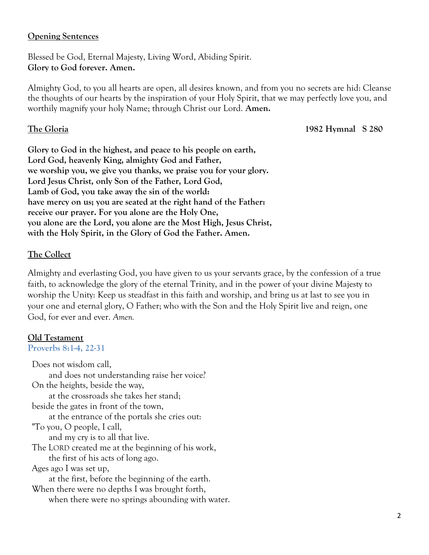#### **Opening Sentences**

Blessed be God, Eternal Majesty, Living Word, Abiding Spirit. **Glory to God forever. Amen.**

Almighty God, to you all hearts are open, all desires known, and from you no secrets are hid: Cleanse the thoughts of our hearts by the inspiration of your Holy Spirit, that we may perfectly love you, and worthily magnify your holy Name; through Christ our Lord. **Amen.**

**The Gloria 1982 Hymnal S 280**

**Glory to God in the highest, and peace to his people on earth, Lord God, heavenly King, almighty God and Father, we worship you, we give you thanks, we praise you for your glory. Lord Jesus Christ, only Son of the Father, Lord God, Lamb of God, you take away the sin of the world: have mercy on us; you are seated at the right hand of the Father: receive our prayer. For you alone are the Holy One, you alone are the Lord, you alone are the Most High, Jesus Christ, with the Holy Spirit, in the Glory of God the Father. Amen.** 

## **The Collect**

Almighty and everlasting God, you have given to us your servants grace, by the confession of a true faith, to acknowledge the glory of the eternal Trinity, and in the power of your divine Majesty to worship the Unity: Keep us steadfast in this faith and worship, and bring us at last to see you in your one and eternal glory, O Father; who with the Son and the Holy Spirit live and reign, one God, for ever and ever. *Amen.*

#### **Old Testament**

**Proverbs 8:1-4, 22-31**

Does not wisdom call, and does not understanding raise her voice? On the heights, beside the way, at the crossroads she takes her stand; beside the gates in front of the town, at the entrance of the portals she cries out: "To you, O people, I call, and my cry is to all that live. The LORD created me at the beginning of his work, the first of his acts of long ago. Ages ago I was set up, at the first, before the beginning of the earth. When there were no depths I was brought forth, when there were no springs abounding with water.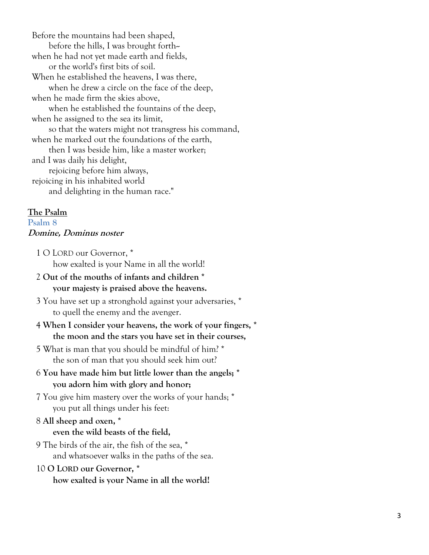Before the mountains had been shaped, before the hills, I was brought forth- when he had not yet made earth and fields, or the world's first bits of soil. When he established the heavens, I was there, when he drew a circle on the face of the deep, when he made firm the skies above, when he established the fountains of the deep, when he assigned to the sea its limit, so that the waters might not transgress his command, when he marked out the foundations of the earth, then I was beside him, like a master worker; and I was daily his delight, rejoicing before him always, rejoicing in his inhabited world and delighting in the human race."

#### **The Psalm**

#### **Psalm 8 Domine, Dominus noster**

1 O LORD our Governor, \* how exalted is your Name in all the world!

- 2 **Out of the mouths of infants and children \* your majesty is praised above the heavens.**
- 3 You have set up a stronghold against your adversaries, \* to quell the enemy and the avenger.
- 4 **When I consider your heavens, the work of your fingers, \* the moon and the stars you have set in their courses,**
- 5 What is man that you should be mindful of him? \* the son of man that you should seek him out?
- 6 **You have made him but little lower than the angels; \* you adorn him with glory and honor;**
- 7 You give him mastery over the works of your hands; \* you put all things under his feet:
- 8 **All sheep and oxen, \* even the wild beasts of the field,**
- 9 The birds of the air, the fish of the sea, \* and whatsoever walks in the paths of the sea.
- 10 O LORD our Governor, \* **how exalted is your Name in all the world!**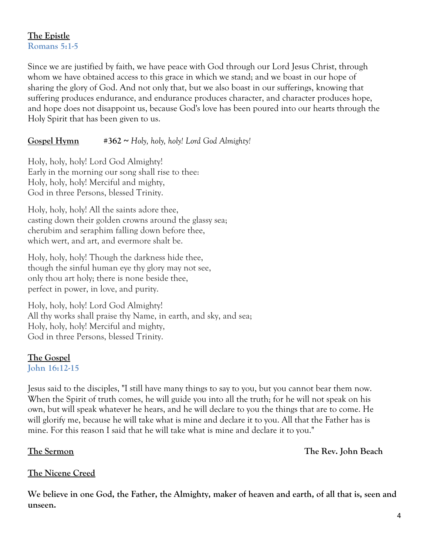## **The Epistle Romans 5:1-5**

Since we are justified by faith, we have peace with God through our Lord Jesus Christ, through whom we have obtained access to this grace in which we stand; and we boast in our hope of sharing the glory of God. And not only that, but we also boast in our sufferings, knowing that suffering produces endurance, and endurance produces character, and character produces hope, and hope does not disappoint us, because God's love has been poured into our hearts through the Holy Spirit that has been given to us.

## **Gospel Hymn #362 ~** *Holy, holy, holy! Lord God Almighty!*

Holy, holy, holy! Lord God Almighty! Early in the morning our song shall rise to thee: Holy, holy, holy! Merciful and mighty, God in three Persons, blessed Trinity.

Holy, holy, holy! All the saints adore thee, casting down their golden crowns around the glassy sea; cherubim and seraphim falling down before thee, which wert, and art, and evermore shalt be.

Holy, holy, holy! Though the darkness hide thee, though the sinful human eye thy glory may not see, only thou art holy; there is none beside thee, perfect in power, in love, and purity.

Holy, holy, holy! Lord God Almighty! All thy works shall praise thy Name, in earth, and sky, and sea; Holy, holy, holy! Merciful and mighty, God in three Persons, blessed Trinity.

## **The Gospel**

**John 16:12-15**

Jesus said to the disciples, "I still have many things to say to you, but you cannot bear them now. When the Spirit of truth comes, he will guide you into all the truth; for he will not speak on his own, but will speak whatever he hears, and he will declare to you the things that are to come. He will glorify me, because he will take what is mine and declare it to you. All that the Father has is mine. For this reason I said that he will take what is mine and declare it to you."

**The Sermon The Rev. John Beach**

## **The Nicene Creed**

**We believe in one God, the Father, the Almighty, maker of heaven and earth, of all that is, seen and unseen.**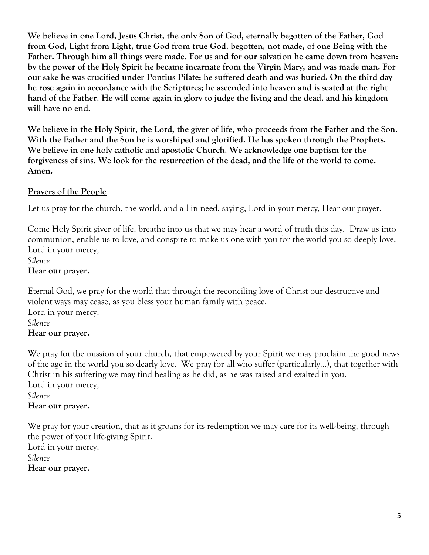**We believe in one Lord, Jesus Christ, the only Son of God, eternally begotten of the Father, God from God, Light from Light, true God from true God, begotten, not made, of one Being with the Father. Through him all things were made. For us and for our salvation he came down from heaven: by the power of the Holy Spirit he became incarnate from the Virgin Mary, and was made man. For our sake he was crucified under Pontius Pilate; he suffered death and was buried. On the third day he rose again in accordance with the Scriptures; he ascended into heaven and is seated at the right hand of the Father. He will come again in glory to judge the living and the dead, and his kingdom will have no end.** 

**We believe in the Holy Spirit, the Lord, the giver of life, who proceeds from the Father and the Son. With the Father and the Son he is worshiped and glorified. He has spoken through the Prophets. We believe in one holy catholic and apostolic Church. We acknowledge one baptism for the forgiveness of sins. We look for the resurrection of the dead, and the life of the world to come. Amen.**

## **Prayers of the People**

Let us pray for the church, the world, and all in need, saying, Lord in your mercy, Hear our prayer.

Come Holy Spirit giver of life; breathe into us that we may hear a word of truth this day. Draw us into communion, enable us to love, and conspire to make us one with you for the world you so deeply love. Lord in your mercy,

*Silence* **Hear our prayer.**

Eternal God, we pray for the world that through the reconciling love of Christ our destructive and violent ways may cease, as you bless your human family with peace. Lord in your mercy, *Silence* **Hear our prayer.**

We pray for the mission of your church, that empowered by your Spirit we may proclaim the good news of the age in the world you so dearly love. We pray for all who suffer (particularly…), that together with Christ in his suffering we may find healing as he did, as he was raised and exalted in you. Lord in your mercy,

#### *Silence* **Hear our prayer.**

We pray for your creation, that as it groans for its redemption we may care for its well-being, through the power of your life-giving Spirit. Lord in your mercy, *Silence* **Hear our prayer.**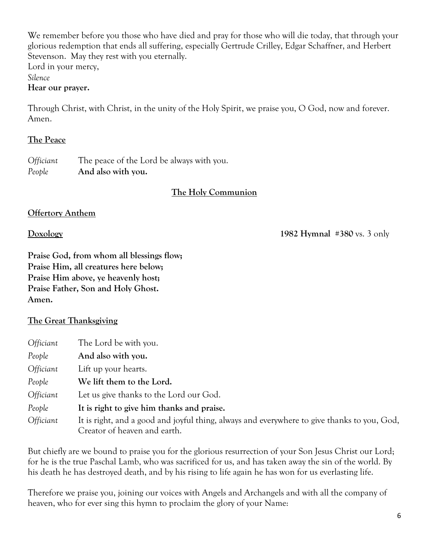We remember before you those who have died and pray for those who will die today, that through your glorious redemption that ends all suffering, especially Gertrude Crilley, Edgar Schaffner, and Herbert Stevenson. May they rest with you eternally. Lord in your mercy,

*Silence*

#### **Hear our prayer.**

Through Christ, with Christ, in the unity of the Holy Spirit, we praise you, O God, now and forever. Amen.

#### **The Peace**

*Officiant* The peace of the Lord be always with you. *People* **And also with you.**

## **The Holy Communion**

## **Offertory Anthem**

**Doxology 1982 Hymnal** #**380** vs. 3 only

**Praise God, from whom all blessings flow; Praise Him, all creatures here below; Praise Him above, ye heavenly host; Praise Father, Son and Holy Ghost. Amen.** 

## **The Great Thanksgiving**

| Officiant | The Lord be with you.                                                                                                       |
|-----------|-----------------------------------------------------------------------------------------------------------------------------|
| People    | And also with you.                                                                                                          |
| Officiant | Lift up your hearts.                                                                                                        |
| People    | We lift them to the Lord.                                                                                                   |
| Officiant | Let us give thanks to the Lord our God.                                                                                     |
| People    | It is right to give him thanks and praise.                                                                                  |
| Officiant | It is right, and a good and joyful thing, always and everywhere to give thanks to you, God,<br>Creator of heaven and earth. |

But chiefly are we bound to praise you for the glorious resurrection of your Son Jesus Christ our Lord; for he is the true Paschal Lamb, who was sacrificed for us, and has taken away the sin of the world. By his death he has destroyed death, and by his rising to life again he has won for us everlasting life.

Therefore we praise you, joining our voices with Angels and Archangels and with all the company of heaven, who for ever sing this hymn to proclaim the glory of your Name: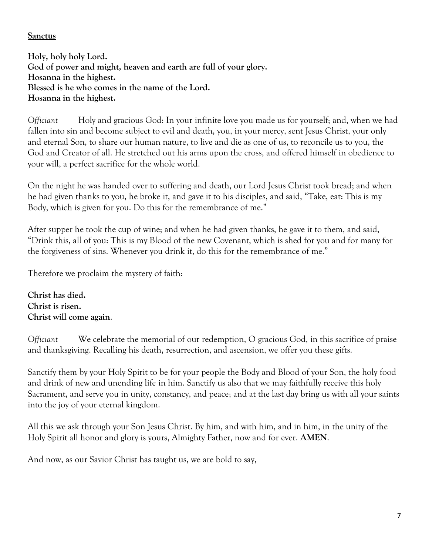## **Sanctus**

**Holy, holy holy Lord. God of power and might, heaven and earth are full of your glory. Hosanna in the highest. Blessed is he who comes in the name of the Lord. Hosanna in the highest.** 

*Officiant* Holy and gracious God: In your infinite love you made us for yourself; and, when we had fallen into sin and become subject to evil and death, you, in your mercy, sent Jesus Christ, your only and eternal Son, to share our human nature, to live and die as one of us, to reconcile us to you, the God and Creator of all. He stretched out his arms upon the cross, and offered himself in obedience to your will, a perfect sacrifice for the whole world.

On the night he was handed over to suffering and death, our Lord Jesus Christ took bread; and when he had given thanks to you, he broke it, and gave it to his disciples, and said, "Take, eat: This is my Body, which is given for you. Do this for the remembrance of me."

After supper he took the cup of wine; and when he had given thanks, he gave it to them, and said, "Drink this, all of you: This is my Blood of the new Covenant, which is shed for you and for many for the forgiveness of sins. Whenever you drink it, do this for the remembrance of me."

Therefore we proclaim the mystery of faith:

**Christ has died. Christ is risen. Christ will come again**.

*Officiant* We celebrate the memorial of our redemption, O gracious God, in this sacrifice of praise and thanksgiving. Recalling his death, resurrection, and ascension, we offer you these gifts.

Sanctify them by your Holy Spirit to be for your people the Body and Blood of your Son, the holy food and drink of new and unending life in him. Sanctify us also that we may faithfully receive this holy Sacrament, and serve you in unity, constancy, and peace; and at the last day bring us with all your saints into the joy of your eternal kingdom.

All this we ask through your Son Jesus Christ. By him, and with him, and in him, in the unity of the Holy Spirit all honor and glory is yours, Almighty Father, now and for ever. **AMEN**.

And now, as our Savior Christ has taught us, we are bold to say,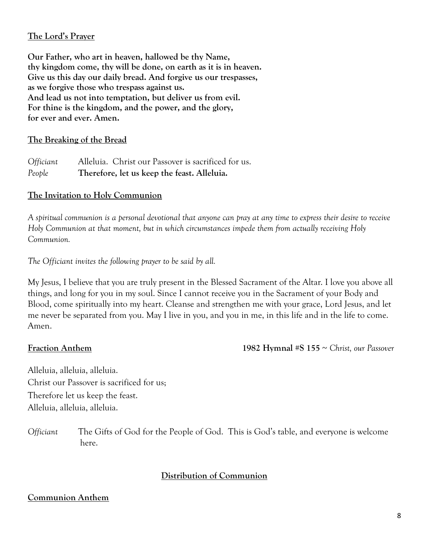## **The Lord's Prayer**

**Our Father, who art in heaven, hallowed be thy Name, thy kingdom come, thy will be done, on earth as it is in heaven. Give us this day our daily bread. And forgive us our trespasses, as we forgive those who trespass against us. And lead us not into temptation, but deliver us from evil. For thine is the kingdom, and the power, and the glory, for ever and ever. Amen.** 

### **The Breaking of the Bread**

*Officiant* Alleluia. Christ our Passover is sacrificed for us. *People* **Therefore, let us keep the feast. Alleluia.**

## **The Invitation to Holy Communion**

*A spiritual communion is a personal devotional that anyone can pray at any time to express their desire to receive Holy Communion at that moment, but in which circumstances impede them from actually receiving Holy Communion.*

*The Officiant invites the following prayer to be said by all.*

My Jesus, I believe that you are truly present in the Blessed Sacrament of the Altar. I love you above all things, and long for you in my soul. Since I cannot receive you in the Sacrament of your Body and Blood, come spiritually into my heart. Cleanse and strengthen me with your grace, Lord Jesus, and let me never be separated from you. May I live in you, and you in me, in this life and in the life to come. Amen.

**Fraction Anthem 1982 Hymnal** #**S 155** ~ *Christ, our Passover*

Alleluia, alleluia, alleluia. Christ our Passover is sacrificed for us; Therefore let us keep the feast. Alleluia, alleluia, alleluia.

*Officiant* The Gifts of God for the People of God. This is God's table, and everyone is welcome here.

#### **Distribution of Communion**

#### **Communion Anthem**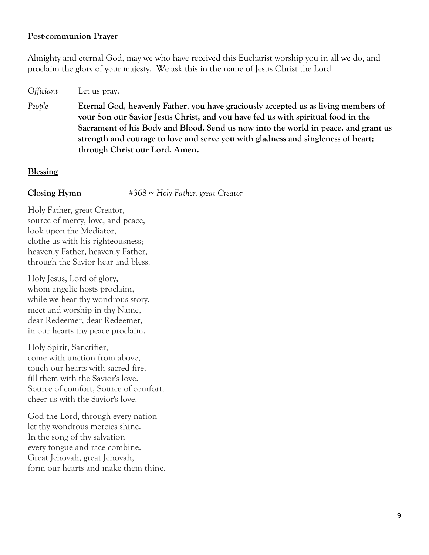#### **Post-communion Prayer**

Almighty and eternal God, may we who have received this Eucharist worship you in all we do, and proclaim the glory of your majesty. We ask this in the name of Jesus Christ the Lord

*Officiant* Let us pray. *People* **Eternal God, heavenly Father, you have graciously accepted us as living members of your Son our Savior Jesus Christ, and you have fed us with spiritual food in the Sacrament of his Body and Blood. Send us now into the world in peace, and grant us strength and courage to love and serve you with gladness and singleness of heart; through Christ our Lord. Amen.**

#### **Blessing**

**Closing Hymn** #368 ~ *Holy Father, great Creator*

Holy Father, great Creator, source of mercy, love, and peace, look upon the Mediator, clothe us with his righteousness; heavenly Father, heavenly Father, through the Savior hear and bless.

Holy Jesus, Lord of glory, whom angelic hosts proclaim, while we hear thy wondrous story, meet and worship in thy Name, dear Redeemer, dear Redeemer, in our hearts thy peace proclaim.

Holy Spirit, Sanctifier, come with unction from above, touch our hearts with sacred fire, fill them with the Savior's love. Source of comfort, Source of comfort, cheer us with the Savior's love.

God the Lord, through every nation let thy wondrous mercies shine. In the song of thy salvation every tongue and race combine. Great Jehovah, great Jehovah, form our hearts and make them thine.